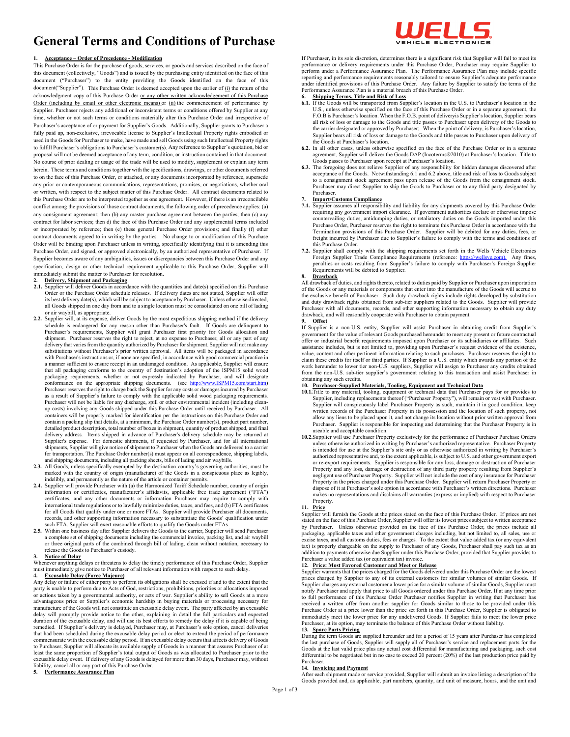# **General Terms and Conditions of Purchase**

### **1. Acceptance – Order of Precedence - Modification**

This Purchase Order is for the purchase of goods, services, or goods and services described on the face of this document (collectively, "Goods") and is issued by the purchasing entity identified on the face of this document ("Purchaser") to the entity providing the Goods identified on the face of this document("Supplier"). This Purchase Order is deemed accepted upon the earlier of  $(i)$  the return of the acknowledgment copy of this Purchase Order or any other written acknowledgement of this Purchase Order (including by email or other electronic means) or (ii) the commencement of performance by Supplier. Purchaser rejects any additional or inconsistent terms or conditions offered by Supplier at any time, whether or not such terms or conditions materially alter this Purchase Order and irrespective of Purchaser's acceptance of or payment for Supplier's Goods. Additionally, Supplier grants to Purchaser a fully paid up, non-exclusive, irrevocable license to Supplier's Intellectual Property rights embodied or used in the Goods for Purchaser to make, have made and sell Goods using such Intellectual Property rights to fulfill Purchaser's obligations to Purchaser's customer(s). Any reference to Supplier's quotation, bid or proposal will not be deemed acceptance of any term, condition, or instruction contained in that document. No course of prior dealing or usage of the trade will be used to modify, supplement or explain any term herein. These terms and conditions together with the specifications, drawings, or other documents referred to on the face of this Purchase Order, or attached, or any documents incorporated by reference, supersede any prior or contemporaneous communications, representations, promises, or negotiations, whether oral or written, with respect to the subject matter of this Purchase Order. All contract documents related to this Purchase Order are to be interpreted together as one agreement. However, if there is an irreconcilable conflict among the provisions of those contract documents, the following order of precedence applies: (a) any consignment agreement; then (b) any master purchase agreement between the parties; then (c) any contract for labor services; then d) the face of this Purchase Order and any supplemental terms included or incorporated by reference; then (e) these general Purchase Order provisions; and finally (f) other contract documents agreed to in writing by the parties. No change to or modification of this Purchase Order will be binding upon Purchaser unless in writing, specifically identifying that it is amending this Purchase Order, and signed, or approved electronically, by an authorized representative of Purchaser. If Supplier becomes aware of any ambiguities, issues or discrepancies between this Purchase Order and any specification, design or other technical requirement applicable to this Purchase Order, Supplier will immediately submit the matter to Purchaser for resolution.

# **2. Delivery, Shipment and Packaging**

- 2.1. Supplier will deliver Goods in accordance with the quantities and date(s) specified on this Purchase Order or the Purchase Order schedule releases. If delivery dates are not stated, Supplier will offer its best delivery date(s), which will be subject to acceptance by Purchaser. Unless otherwise directed, all Goods shipped in one day from and to a single location must be consolidated on one bill of lading or air waybill, as appropriate.
- **2.2.** Supplier will, at its expense, deliver Goods by the most expeditious shipping method if the delivery schedule is endangered for any reason other than Purchaser's fault. If Goods are delinquent to Purchaser's requirements, Supplier will grant Purchaser first priority for Goods allocation and shipment. Purchaser reserves the right to reject, at no expense to Purchaser, all or any part of any delivery that varies from the quantity authorized by Purchaser for shipment. Supplier will not make any substitutions without Purchaser's prior written approval. All items will be packaged in accordance with Purchaser's instructions or, if none are specified, in accordance with good commercial practice in a manner sufficient to ensure receipt in an undamaged condition. As applicable, Supplier will ensure that all packaging conforms to the country of destination's adoption of the ISPM15 solid wood packaging requirements, whether or not expressly indicated by Purchaser, and will designate conformance on the appropriate shipping documents. (see http://www.ISPM15.com/start.htm) conformance on the appropriate shipping documents. (see http://www.ISPM15.com/start.html Purchaser reserves the right to charge back the Supplier for any costs or damages incurred by Purchaser as a result of Supplier's failure to comply with the applicable solid wood packaging requirements. Purchaser will not be liable for any discharge, spill or other environmental incident (including cleanup costs) involving any Goods shipped under this Purchase Order until received by Purchaser. All containers will be properly marked for identification per the instructions on this Purchase Order and contain a packing slip that details, at a minimum, the Purchase Order number(s), product part number, detailed product description, total number of boxes in shipment, quantity of product shipped, and final delivery address. Items shipped in advance of Purchaser's delivery schedule may be returned at Supplier's expense. For domestic shipments, if requested by Purchaser, and for all international shipments, Supplier will give notice of shipment to Purchaser when the Goods are delivered to a carrier for transportation. The Purchase Order number(s) must appear on all correspondence, shipping labels, and shipping documents, including all packing sheets, bills of lading and air waybills.
- **2.3.** All Goods, unless specifically exempted by the destination country's governing authorities, must be marked with the country of origin (manufacture) of the Goods in a conspicuous place as legibly, indelibly, and permanently as the nature of the article or container permits.
- 2.4. Supplier will provide Purchaser with (a) the Harmonized Tariff Schedule number, country of origin information or certificates, manufacturer's affidavits, applicable free trade agreement ("FTA") certificates, and any other documents or information Purchaser may require to comply with international trade regulations or to lawfully minimize duties, taxes, and fees, and (b) FTA certificates for all Goods that qualify under one or more FTAs. Supplier will provide Purchaser all documents, records, and other supporting information necessary to substantiate the Goods' qualification under such FTA. Supplier will exert reasonable efforts to qualify the Goods under FTAs.
- 2.5. Within one business day after Supplier delivers the Goods to the carrier, Supplier will send Purcha a complete set of shipping documents including the commercial invoice, packing list, and air waybill or three original parts of the combined through bill of lading, clean without notation, necessary to release the Goods to Purchaser's custody.

**3. Notice of Delay** Whenever anything delays or threatens to delay the timely performance of this Purchase Order, Supplier must immediately give notice to Purchaser of all relevant information with respect to such delay. **4. Excusable Delay (Force Majeure)**

Any delay or failure of either party to perform its obligations shall be excused if and to the extent that the party is unable to perform due to Acts of God, restrictions, prohibitions, priorities or allocations imposed or actions taken by a governmental authority, or acts of war. Supplier's ability to sell Goods at a more advantageous price or Supplier's economic hardship in buying materials or processing necessary for manufacture of the Goods will not constitute an excusable delay event. The party affected by an excusable delay will promptly provide notice to the other, explaining in detail the full particulars and expected duration of the excusable delay, and will use its best efforts to remedy the delay if it is capable of being remedied. If Supplier's delivery is delayed, Purchaser may, at Purchaser's sole option, cancel deliveries that had been scheduled during the excusable delay period or elect to extend the period of performance commensurate with the excusable delay period. If an excusable delay occurs that affects delivery of Goods to Purchaser, Supplier will allocate its available supply of Goods in a manner that assures Purchaser of at least the same proportion of Supplier's total output of Goods as was allocated to Purchaser prior to the excusable delay event. If delivery of any Goods is delayed for more than 30 days, Purchaser may, without liability, cancel all or any part of this Purchase Order.

### **5. Performance Assurance Plan**

VEHICLE ELECTRONICS

If Purchaser, in its sole discretion, determines there is a significant risk that Supplier will fail to meet its performance or delivery requirements under this Purchase Order, Purchaser may require Supplier to perform under a Performance Assurance Plan. The Performance Assurance Plan may include specific reporting and performance requirements reasonably tailored to ensure Supplier's adequate performance under identified provisions of this Purchase Order. Any failure by Supplier to satisfy the terms of the Performance Assurance Plan is a material breach of this Purchase Order.

# **6. Shipping Terms, Title and Risk of Loss**

- **6.1.** If the Goods will be transported from Supplier's location in the U.S. to Purchaser's location in the U.S., unless otherwise specified on the face of this Purchase Order or in a separate agreement, the F.O.B is Purchaser's location. When the F.O.B. point of deliveryis Supplier's location, Supplier bears all risk of loss or damage to the Goods and title passes to Purchaser upon delivery of the Goods to<br>the carrier designated or approved by Purchaser; When the point of delivery, is Purchaser's location,<br>Supplier bears all r the Goods at Purchaser's location.
- **6.2.** In all other cases, unless otherwise specified on the face of the Purchase Order or in a separate agreement, Supplier will deliver the Goods DAP (Incoterms®2010) at Purchaser's location. Title to
- Goods passes to Purchaser upon receipt at Purchaser's location.<br> **6.3.** The foregoing does not relieve Supplier of any responsibility for hidden damages discovered after acceptance of the Goods. Notwithstanding 6.1 and 6.2 above, title and risk of loss to Goods subject to a consignment stock agreement pass upon release of the Goods from the consignment stock. Purchaser may direct Supplier to ship the Goods to Purchaser or to any third party designated by Purchaser.

### **7. Import/Customs Compliance**

- **7.1.** Supplier assumes all responsibility and liability for any shipments covered by this Purchase Order requiring any government import clearance. If government authorities declare or otherwise impose countervailing duties, antidumping duties, or retaliatory duties on the Goods imported under this Purchase Order, Purchaser reserves the right to terminate this Purchase Order in accordance with the Termination provisions of this Purchase Order. Supplier will be debited for any duties, fees, or freight incurred by Purchaser due to Supplier's failure to comply with the terms and conditions of this Purchase Order.
- **7.2.** Supplier shall comply with the shipping requirements set forth in the Wells Vehicle Electronics Foreign Supplier Trade Compliance Requirements (reference: [https://wellsve.com\).](https://wellsve.com)/) Any fines,<br>penalties or costs resulting from Supplier's failure to comply with Purchaser's Foreign Supplier Requirements will be debited to Supplier.

### **8. Drawback**

All drawback of duties, and rights thereto, related to duties paid by Supplier or Purchaser upon importation of the Goods or any materials or components that enter into the manufacture of the Goods will accrue to the exclusive benefit of Purchaser. Such duty drawback rights include rights developed by substitution and duty drawback rights obtained from sub-tier suppliers related to the Goods. Supplier will provide Purchaser with all documents, records, and other supporting information necessary to obtain any duty drawback, and will reasonably cooperate with Purchaser to obtain payment.

# **9. Offset**

If Supplier is a non-U.S. entity, Supplier will assist Purchaser in obtaining credit from Supplier's government for the value of relevant Goods purchased hereunder to meet any present or future contractual offer or industrial benefit requirements imposed upon Purchaser or its subsidiaries or affiliates. Such assistance includes, but is not limited to, providing upon Purchaser's request evidence of the existence, value, content and other pertinent information relating to such purchases. Purchaser reserves the right to claim these credits for itself or third parties. If Supplier is a U.S. entity which awards any portion of the work hereunder to lower tier non-U.S. suppliers, Supplier will assign to Purchaser any credits obtained from the non-U.S. sub-tier supplier's government relating to this transaction and assist Purchaser in obtaining any such credits.

# **10. Purchaser-Supplied Materials, Tooling, Equipment and Technical Data**

- **10.1.**Title to any material, tooling, equipment or technical data that Purchaser pays for or provides to Supplier, including replacements thereof ("Purchaser Property"), will remain or vest with Purchaser. Supplier will conspicuously label Purchaser Property as such, maintain it in good condition, keep written records of the Purchaser Property in its possession and the location of such property, not allow any liens to be placed upon it, and not change its location without prior written approval from Purchaser. Supplier is responsible for inspecting and determining that the Purchaser Property is in useable and acceptable condition.
- **10.2.**Supplier will use Purchaser Property exclusively for the performance of Purchaser Purchase Orders unless otherwise authorized in writing by Purchaser's authorized representative. Purchaser Property is intended for use at the Supplier's site only or as otherwise authorized in writing by Purchaser's authorized representative and, to the extent applicable, is subject to U.S. and other government export or re-export requirements. Supplier is responsible for any loss, damage or destruction of Purchaser Property and any loss, damage or destruction of any third party property resulting from Supplier's negligent use of Purchaser Property. Supplier will not include the cost of any insurance for Purchaser Property in the prices charged under this Purchase Order. Supplier will return Purchaser Property or dispose of it at Purchaser's sole option in accordance with Purchaser's written directions. Purchaser makes no representations and disclaims all warranties (express or implied) with respect to Purchaser Property.

**11. Price** Supplier will furnish the Goods at the prices stated on the face of this Purchase Order. If prices are not stated on the face of this Purchase Order, Supplier will offer its lowest prices subject to written acceptance by Purchaser. Unless otherwise provided on the face of this Purchase Order, the prices include all packaging, applicable taxes and other government charges including, but not limited to, all sales, use or excise taxes, and all customs duties, fees or charges. To the extent that value added tax (or any equivalent tax) is properly chargeable on the supply to Purchaser of any Goods, Purchaser shall pay such tax as an addition to payments otherwise due Supplier under this Purchase Order, provided that Supplier provides to Purchaser a value added tax (or equivalent tax) invoice.

### **12. Price: Most Favored Customer and Meet or Release**

Supplier warrants that the prices charged for the Goods delivered under this Purchase Order are the lowest prices charged by Supplier to any of its external customers for similar volumes of similar Goods. If Supplier charges any external customer a lower price for a similar volume of similar Goods, Supplier must notify Purchaser and apply that price to all Goods ordered under this Purchase Order. If at any time prior to full performance of this Purchase Order Purchaser notifies Supplier in writing that Purchaser has received a written offer from another supplier for Goods similar to those to be provided under this Purchase Order at a price lower than the price set forth in this Purchase Order, Supplier is obligated to immediately meet the lower price for any undelivered Goods. If Supplier fails to meet the lower price Purchaser, at its option, may terminate the balance of this Purchase Order without liability

**13. Spare Parts Pricing** During the term Goods are supplied hereunder and for a period of 15 years after Purchaser has completed the last purchase of Goods, Supplier will supply all of Purchaser's service and replacement parts for the Goods at the last valid price plus any actual cost differential for manufacturing and packaging, such cost differential to be negotiated but in no case to exceed 20 percent (20%) of the last production price paid by Purchaser.

### **14. Invoicing and Payment**

After each shipment made or service provided, Supplier will submit an invoice listing a description of the Goods provided and, as applicable, part numbers, quantity, and unit of measure, hours, and the unit and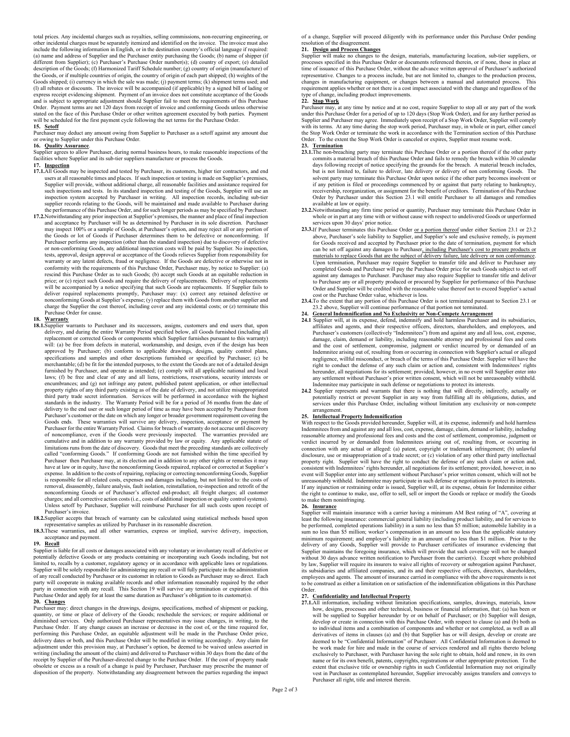total prices. Any incidental charges such as royalties, selling commissions, non-recurring engineering, or other incidental charges must be separately itemized and identified on the invoice. The invoice must also include the following information in English, or in the destination country's official language if required: (a) name and address of Supplier and the Purchaser entity purchasing the Goods; (b) name of shipper (if different from Supplier); (c) Purchaser's Purchase Order number(s); (d) country of export; (e) detailed description of the Goods; (f) Harmonized Tariff Schedule number; (g) country of origin (manufacture) of the Goods, or if multiple countries of origin, the country of origin of each part shipped; (h) weights of the Goods shipped; (i) currency in which the sale was made; (j) payment terms; (k) shipment terms used; and<br>(l) all rebates or discounts. The invoice will be accompanied (if applicable) by a signed bill of lading or<br>express re Order. Payment terms are net 120 days from receipt of invoice and conforming Goods unless otherwise stated on the face of this Purchase Order or other written agreement executed by both parties. Payment will be scheduled for the first payment cycle following the net terms for the Purchase Order. **15. Setoff**

### Purchaser may deduct any amount owing from Supplier to Purchaser as a setoff against any amount due

# or owing to Supplier under this Purchase Order.

**16. Quality Assurance**. Supplier agrees to allow Purchaser, during normal business hours, to make reasonable inspections of the facilities where Supplier and its sub-tier suppliers manufacture or process the Goods.

### **17. Inspection**

- **17.1.**All Goods may be inspected and tested by Purchaser, its customers, higher tier contractors, and end users at all reasonable times and places. If such inspection or testing is made on Supplier's premises, Supplier will provide, without additional charge, all reasonable facilities and assistance required for such inspections and tests. In its standard inspection and testing of the Goods, Supplier will use an inspection system accepted by Purchaser in writing. All inspection records, including sub-tier supplier records relating to the Goods, will be maintained and made available to Purchaser during the performance of this Purchase Order, and for such longer periods as may be specified by Purchaser
- **17.2.**Notwithstanding any prior inspection at Supplier's premises, the manner and place of final inspection and acceptance by Purchaser will be as determined by Purchaser in its sole discretion. Purchaser may inspect 100% or a sample of Goods, at Purchaser's option, and may reject all or any portion of the Goods or lot of Goods if Purchaser determines them to be defective or nonconforming. If Purchaser performs any inspection (other than the standard inspection) due to discovery of defective or non-conforming Goods, any additional inspection costs will be paid by Supplier. No inspection, tests, approval, design approval or acceptance of the Goods relieves Supplier from responsibility for warranty or any latent defects, fraud or negligence. If the Goods are defective or otherwise not in conformity with the requirements of this Purchase Order, Purchaser may, by notice to Supplier: (a) rescind this Purchase Order as to such Goods; (b) accept such Goods at an equitable reduction in price; or (c) reject such Goods and require the delivery of replacements. Delivery of replacements will be accompanied by a notice specifying that such Goods are replacements. If Supplier fails to deliver required replacements promptly, Purchaser may: (x) correct any retained defective or nonconforming Goods at Supplier's expense; (y) replace them with Goods from another supplier and charge the Supplier the cost thereof, including cover and any incidental costs; or (z) terminate this Purchase Order for cause.

### **18. Warranty**

- **18.1.**Supplier warrants to Purchaser and its successors, assigns, customers and end users that, upon delivery, and during the entire Warranty Period specified below, all Goods furnished (including all replacement or corrected Goods or components which Supplier furnishes pursuant to this warranty)<br>will: (a) be free from defects in material, workmanship, and design, even if the design has been<br>approved by Purchaser; (b) c specifications and samples and other descriptions furnished or specified by Purchaser; (c) be merchantable; (d) be fit for the intended purposes, to the extent the Goods are not of a detailed design furnished by Purchaser, and operate as intended; (e) comply will all applicable national and local laws; (f) be free and clear of any and all liens, restrictions, reservations, security interests or encumbrances; and (g) not infringe any patent, published patent application, or other intellectual property rights of any third party existing as of the date of delivery, and not utilize misappropriated third party trade secret information. Services will be performed in accordance with the highest standards in the industry. The Warranty Period will be for a period of 36 months from the date of delivery to the end user or such longer period of time as may have been accepted by Purchaser from Purchaser's customer or the date on which any longer or broader government requirement covering the Goods ends. These warranties will survive any delivery, inspection, acceptance or payment by Purchaser for the entire Warranty Period. Claims for breach of warranty do not accrue until discovery of noncompliance, even if the Goods were previously inspected. The warranties provided are cumulative and in addition to any warranty provided by law or equity. Any applicable statute of limitations runs from the date of discovery. Goods that meet the preceding standards are collectively called "conforming Goods." If conforming Goods are not furnished within the time specified by Purchaser then Purchaser may, at its election and in addition to any other rights or remedies it may have at law or in equity, have the nonconforming Goods repaired, replaced or corrected at Supplier's expense. In addition to the costs of repairing, replacing or correcting nonconforming Goods, Supplier is responsible for all related costs, expenses and damages including, but not limited to: the costs of removal, disassembly, failure analysis, fault isolation, reinstallation, re-inspection and retrofit of the nonconforming Goods or of Purchaser's affected end-product; all freight charges; all customer charges; and all corrective action costs (i.e., costs of additional inspection or quality control systems). Unless setoff by Purchaser, Supplier will reimburse Purchaser for all such costs upon receipt of Purchaser's invoice.
- 18.2.Supplier accepts that breach of warranty can be calculated using statistical methods based upor representative samples as utilized by Purchaser in its reasonable discretion.
- **18.3.**These warranties, and all other warranties, express or implied, survive delivery, inspection, acceptance and payment.

**19. Recall** Supplier is liable for all costs or damages associated with any voluntary or involuntary recall of defective or potentially defective Goods or any products containing or incorporating such Goods including, but not limited to, recalls by a customer, regulatory agency or in accordance with applicable laws or regulations. Supplier will be solely responsible for administering any recall or will fully participate in the administration of any recall conducted by Purchaser or its customer in relation to Goods as Purchaser may so direct. Each party will cooperate in making available records and other information reasonably required by the other party will cooperate in making available records and other information reasonably required by the other party in connection with any recall. This Section 19 will survive any termination or expiration of this Purchase Order and apply for at least the same duration as Purchaser's obligation to its customer(s). **20. Changes**

# Purchaser may: direct changes in the drawings, designs, specifications, method of shipment or packing, quantity, or time or place of delivery of the Goods; reschedule the services; or require additional or diminished services. Only authorized Purchaser representatives may issue changes, in writing, to the Purchase Order. If any change causes an increase or decrease in the cost of, or the time required for, performing this Purchase Order, an equitable adjustment will be made in the Purchase Order price, delivery dates or both, and this Purchase Order will be modified in writing accordingly. Any claim for adjustment under this provision may, at Purchaser's option, be deemed to be waived unless asserted in writing (including the amount of the claim) and delivered to Purchaser within 30 days from the date of the receipt by Supplier of the Purchaser-directed change to the Purchase Order. If the cost of property made obsolete or excess as a result of a change is paid by Purchaser, Purchaser may prescribe the manner of disposition of the property. Notwithstanding any disagreement between the parties regarding the impact

of a change, Supplier will proceed diligently with its performance under this Purchase Order pending resolution of the disagreement.

### **21. Design and Process Changes**

Supplier will make no changes to the design, materials, manufacturing location, sub-tier suppliers, or processes specified in this Purchase Order or documents referenced therein, or if none, those in place at time of issuance of this Purchase Order, without the advance written approval of Purchaser's authorized representative. Changes to a process include, but are not limited to, changes to the production process, changes in manufacturing equipment, or changes between a manual and automated process. This requirement applies whether or not there is a cost impact associated with the change and regardless of the type of change, including product improvements. **22. Stop Work**

Purchaser may, at any time by notice and at no cost, require Supplier to stop all or any part of the work under this Purchase Order for a period of up to 120 days (Stop Work Order), and for any further period as Supplier and Purchaser may agree. Immediately upon receipt of a Stop Work Order, Supplier will comply with its terms. At any time during the stop work period, Purchaser may, in whole or in part, either cancel the Stop Work Order or terminate the work in accordance with the Termination section of this Purchase Order. To the extent the Stop Work Order is canceled or expires, Supplier must resume work.

- **23. Termination 23.1.**The non-breaching party may terminate this Purchase Order or a portion thereof if the other party commits a material breach of this Purchase Order and fails to remedy the breach within 30 calendar days following receipt of notice specifying the grounds for the breach. A material breach includes, but is not limited to, failure to deliver, late delivery or delivery of non conforming Goods. The solvent party may terminate this Purchase Order upon notice if the other party becomes insolvent or if any petition is filed or proceedings commenced by or against that party relating to bankruptcy, receivership, reorganization, or assignment for the benefit of creditors. Termination of this Purchase Order by Purchaser under this Section 23.1 will entitle Purchaser to all damages and remedies available at law or equity.
- **23.2.**Notwithstanding any firm time period or quantity, Purchaser may terminate this Purchase Order in whole or in part at any time with or without cause with respect to undelivered Goods or unperformed services upon 30 days' prior notice.
- 23.3.If Purchaser terminates this Purchase Order or a portion thereof under either Section 23.1 or 23.2 above, Purchaser's sole liability to Supplier, and Supplier's sole and exclusive remedy, is payment for Goods received and accepted by Purchaser prior to the date of termination, payment for which can be set off against any damages to Purchaser, including Purchaser's cost to procure products or materials to replace Goods that are the subject of delivery failure, late delivery or non conformance. Upon termination, Purchaser may require Supplier to transfer title and deliver to Purchaser any completed Goods and Purchaser will pay the Purchase Order price for such Goods subject to set off against any damages to Purchaser. Purchaser may also require Supplier to transfer title and deliver to Purchaser any or all property produced or procured by Supplier for performance of this Purchase Order and Supplier will be credited with the reasonable value thereof not to exceed Supplier's actual cost or the Purchase Order value, whichever is less.
- **23.4.**To the extent that any portion of this Purchase Order is not terminated pursuant to Section 23.1 or 23.2 above, Supplier will continue performance of that portion not terminated.

# **24. General Indemnification and No Exclusivity or Non-Compete Arrangement**

- 24.1 Supplier will, at its expense, defend, indemnify and hold harmless Purchaser and its subsidiaries, affiliates and agents, and their respective officers, directors, shareholders, and employees, and Purchaser's customers (collectively "Indemnitees") from and against any and all loss, cost, expense, damage, claim, demand or liability, including reasonable attorney and professional fees and costs and the cost of settlement, compromise, judgment or verdict incurred by or demanded of an Indemnitee arising out of, resulting from or occurring in connection with Supplier's actual or alleged negligence, willful misconduct, or breach of the terms of this Purchase Order. Supplier will have the right to conduct the defense of any such claim or action and, consistent with Indemnitees' rights hereunder, all negotiations for its settlement; provided, however, in no event will Supplier enter into any settlement without Purchaser's prior written consent, which will not be unreasonably withheld.
- Indemnitee may participate in such defense or negotiations to protect its interests. **24.2** Supplier represents and warrants that there is nothing that will directly, indirectly, actually or potentially restrict or prevent Supplier in any way from fulfilling all its obligations, duties, and services under this Purchase Order, including without limitation any exclusivity or non-compete arrangement.

**25. Intellectual Property Indemnification** With respect to the Goods provided hereunder, Supplier will, at its expense, indemnify and hold harmless Indemnitees from and against any and all loss, cost, expense, damage, claim, demand or liability, including reasonable attorney and professional fees and costs and the cost of settlement, compromise, judgment or verdict incurred by or demanded from Indemnitees arising out of, resulting from, or occurring in connection with any actual or alleged: (a) patent, copyright or trademark infringement; (b) unlawful disclosure, use or misappropriation of a trade secret; or (c) violation of any other third party intellectual property right. Supplier will have the right to conduct the defense of any such claim or action and, consistent with Indemnitees' rights hereunder, all negotiations for its settlement; provided, however, in no event will Supplier enter into any settlement without Purchaser's prior written consent, which will not be unreasonably withheld. Indemnitee may participate in such defense or negotiations to protect its interests. If any injunction or restraining order is issued, Supplier will, at its expense, obtain for Indemnitee either the right to continue to make, use, offer to sell, sell or import the Goods or replace or modify the Goods to make them noninfringing.

### **26. Insurance**

Supplier will maintain insurance with a carrier having a minimum AM Best rating of "A", covering at least the following insurance: commercial general liability (including product liability, and for services to be performed, completed operations liability) in a sum no less than \$5 million; automobile liability in a sum no less than \$5 million; worker's compensation in an amount no less than the applicable statutory minimum requirement; and employer's liability in an amount of no less than \$1 million. Prior to the delivery of any Goods, Supplier will provide to Purchaser certificates of insurance evidencing that Supplier maintains the foregoing insurance, which will provide that such coverage will not be changed without 30 days advance written notification to Purchaser from the carrier(s). Except where prohibited by law, Supplier will require its insurers to waive all rights of recovery or subrogation against Purchaser, its subsidiaries and affiliated companies, and its and their respective officers, directors, shareholders, employees and agents. The amount of insurance carried in compliance with the above requirements is not to be construed as either a limitation on or satisfaction of the indemnification obligations in this Purchase Order.

# **27. Confidentiality and Intellectual Property**

**27.1.**All information, including without limitation specifications, samples, drawings, materials, know how, designs, processes and other technical, business or financial information, that: (a) has been or will be supplied to Supplier hereunder by or on behalf of Purchaser; or (b) Supplier will design, develop or create in connection with this Purchase Order, with respect to clause (a) and (b) both as to individual items and a combination of components and whether or not completed, as well as all derivatives of items in clauses (a) and (b) that Supplier has or will design, develop or create are deemed to be "Confidential Information" of Purchaser. All Confidential Information is deemed to be work made for hire and made in the course of services rendered and all rights thereto belong exclusively to Purchaser, with Purchaser having the sole right to obtain, hold and renew, in its own name or for its own benefit, patents, copyrights, registrations or other appropriate protection. To the extent that exclusive title or ownership rights in such Confidential Information may not originally vest in Purchaser as contemplated hereunder, Supplier irrevocably assigns transfers and conveys to Purchaser all right, title and interest therein.